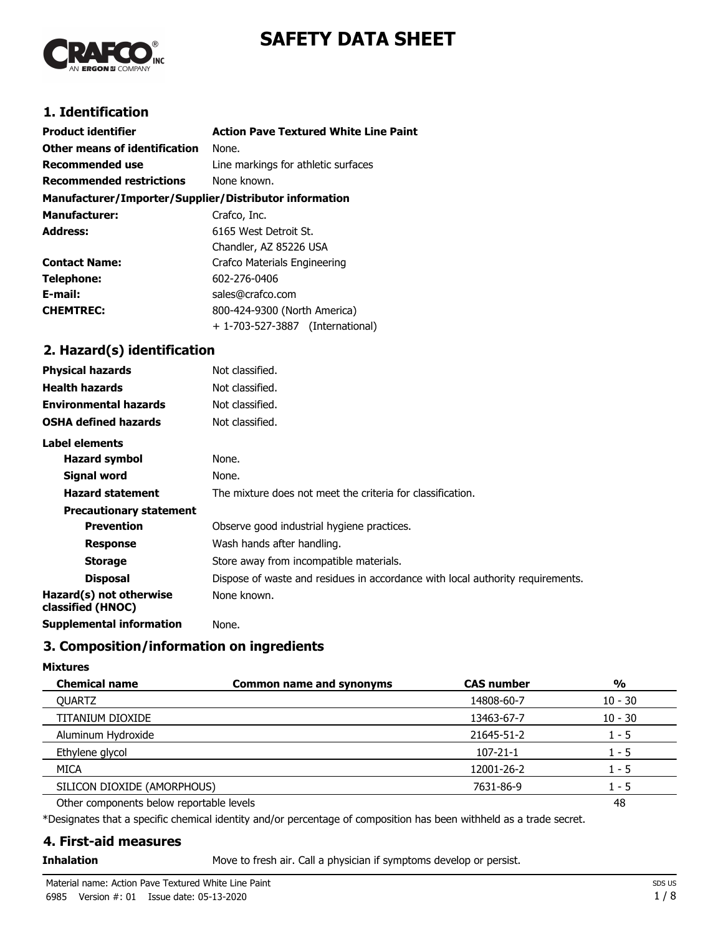# **SAFETY DATA SHEET**



## **1. Identification**

| <b>Product identifier</b>                              | <b>Action Pave Textured White Line Paint</b> |
|--------------------------------------------------------|----------------------------------------------|
| Other means of identification                          | None.                                        |
| <b>Recommended use</b>                                 | Line markings for athletic surfaces          |
| <b>Recommended restrictions</b>                        | None known.                                  |
| Manufacturer/Importer/Supplier/Distributor information |                                              |
| <b>Manufacturer:</b>                                   | Crafco, Inc.                                 |
| <b>Address:</b>                                        | 6165 West Detroit St.                        |
|                                                        | Chandler, AZ 85226 USA                       |
| <b>Contact Name:</b>                                   | <b>Crafco Materials Engineering</b>          |
| Telephone:                                             | 602-276-0406                                 |
| E-mail:                                                | sales@crafco.com                             |
| <b>CHEMTREC:</b>                                       | 800-424-9300 (North America)                 |
|                                                        | + 1-703-527-3887 (International)             |

## **2. Hazard(s) identification**

| <b>Physical hazards</b>                      | Not classified.                                                                |
|----------------------------------------------|--------------------------------------------------------------------------------|
| <b>Health hazards</b>                        | Not classified.                                                                |
| <b>Environmental hazards</b>                 | Not classified.                                                                |
| <b>OSHA defined hazards</b>                  | Not classified.                                                                |
| Label elements                               |                                                                                |
| <b>Hazard symbol</b>                         | None.                                                                          |
| Signal word                                  | None.                                                                          |
| <b>Hazard statement</b>                      | The mixture does not meet the criteria for classification.                     |
| <b>Precautionary statement</b>               |                                                                                |
| <b>Prevention</b>                            | Observe good industrial hygiene practices.                                     |
| <b>Response</b>                              | Wash hands after handling.                                                     |
| <b>Storage</b>                               | Store away from incompatible materials.                                        |
| <b>Disposal</b>                              | Dispose of waste and residues in accordance with local authority requirements. |
| Hazard(s) not otherwise<br>classified (HNOC) | None known.                                                                    |
| <b>Supplemental information</b>              | None.                                                                          |

## **3. Composition/information on ingredients**

#### **Mixtures**

| <b>Chemical name</b>                     | <b>Common name and synonyms</b> | <b>CAS number</b> | $\frac{0}{0}$ |
|------------------------------------------|---------------------------------|-------------------|---------------|
| <b>OUARTZ</b>                            |                                 | 14808-60-7        | $10 - 30$     |
| TITANIUM DIOXIDE                         |                                 | 13463-67-7        | $10 - 30$     |
| Aluminum Hydroxide                       |                                 | 21645-51-2        | $1 - 5$       |
| Ethylene glycol                          |                                 | $107 - 21 - 1$    | $1 - 5$       |
| MICA                                     |                                 | 12001-26-2        | $1 - 5$       |
| SILICON DIOXIDE (AMORPHOUS)              |                                 | 7631-86-9         | $1 - 5$       |
| Other components below reportable levels |                                 |                   | 48            |

\*Designates that a specific chemical identity and/or percentage of composition has been withheld as a trade secret.

## **4. First-aid measures**

**Inhalation** Move to fresh air. Call a physician if symptoms develop or persist.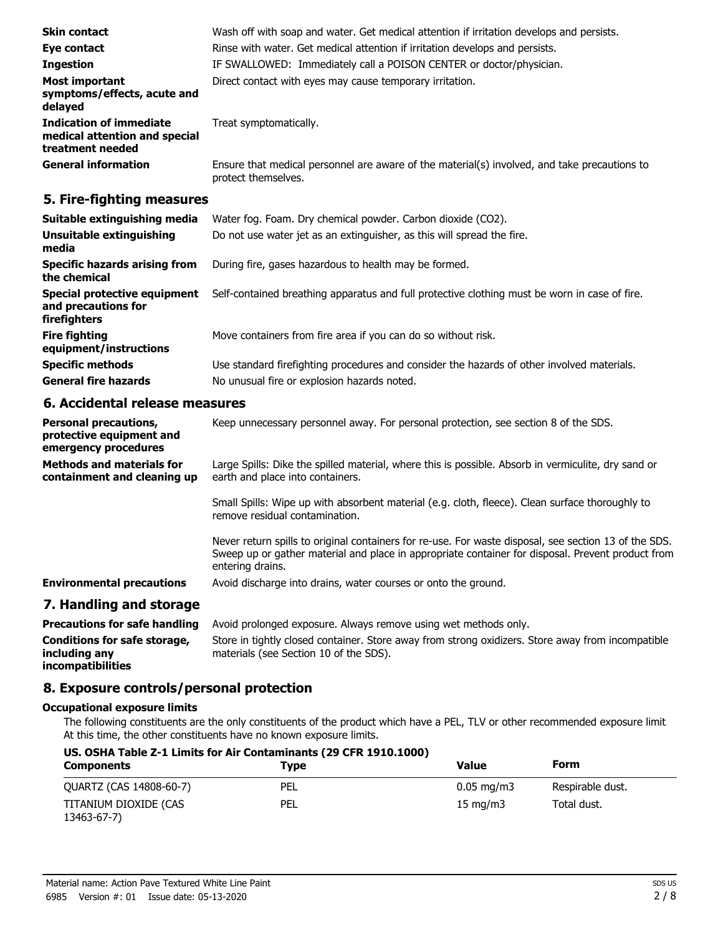| <b>Skin contact</b>                                                                 | Wash off with soap and water. Get medical attention if irritation develops and persists.                            |
|-------------------------------------------------------------------------------------|---------------------------------------------------------------------------------------------------------------------|
| Eye contact                                                                         | Rinse with water. Get medical attention if irritation develops and persists.                                        |
| <b>Ingestion</b>                                                                    | IF SWALLOWED: Immediately call a POISON CENTER or doctor/physician.                                                 |
| <b>Most important</b><br>symptoms/effects, acute and<br>delayed                     | Direct contact with eyes may cause temporary irritation.                                                            |
| <b>Indication of immediate</b><br>medical attention and special<br>treatment needed | Treat symptomatically.                                                                                              |
| <b>General information</b>                                                          | Ensure that medical personnel are aware of the material(s) involved, and take precautions to<br>protect themselves. |

## **5. Fire-fighting measures**

| Suitable extinguishing media                                        | Water fog. Foam. Dry chemical powder. Carbon dioxide (CO2).                                   |
|---------------------------------------------------------------------|-----------------------------------------------------------------------------------------------|
| Unsuitable extinguishing<br>media                                   | Do not use water jet as an extinguisher, as this will spread the fire.                        |
| Specific hazards arising from<br>the chemical                       | During fire, gases hazardous to health may be formed.                                         |
| Special protective equipment<br>and precautions for<br>firefighters | Self-contained breathing apparatus and full protective clothing must be worn in case of fire. |
| <b>Fire fighting</b><br>equipment/instructions                      | Move containers from fire area if you can do so without risk.                                 |
| <b>Specific methods</b>                                             | Use standard firefighting procedures and consider the hazards of other involved materials.    |
| <b>General fire hazards</b>                                         | No unusual fire or explosion hazards noted.                                                   |

## **6. Accidental release measures**

| <b>Personal precautions,</b><br>protective equipment and<br>emergency procedures | Keep unnecessary personnel away. For personal protection, see section 8 of the SDS.                                                                                                                                            |
|----------------------------------------------------------------------------------|--------------------------------------------------------------------------------------------------------------------------------------------------------------------------------------------------------------------------------|
| <b>Methods and materials for</b><br>containment and cleaning up                  | Large Spills: Dike the spilled material, where this is possible. Absorb in vermiculite, dry sand or<br>earth and place into containers.                                                                                        |
|                                                                                  | Small Spills: Wipe up with absorbent material (e.g. cloth, fleece). Clean surface thoroughly to<br>remove residual contamination.                                                                                              |
|                                                                                  | Never return spills to original containers for re-use. For waste disposal, see section 13 of the SDS.<br>Sweep up or gather material and place in appropriate container for disposal. Prevent product from<br>entering drains. |
| <b>Environmental precautions</b>                                                 | Avoid discharge into drains, water courses or onto the ground.                                                                                                                                                                 |
| 7. Handling and storage                                                          |                                                                                                                                                                                                                                |
| <b>Precautions for safe handling</b>                                             | Avoid prolonged exposure. Always remove using wet methods only.                                                                                                                                                                |
| Conditions for safe storage,<br>including any                                    | Store in tightly closed container. Store away from strong oxidizers. Store away from incompatible<br>materials (see Section 10 of the SDS).                                                                                    |

**incompatibilities**

## **8. Exposure controls/personal protection**

## **Occupational exposure limits**

The following constituents are the only constituents of the product which have a PEL, TLV or other recommended exposure limit. At this time, the other constituents have no known exposure limits.

## **US. OSHA Table Z-1 Limits for Air Contaminants (29 CFR 1910.1000)**

| <b>Components</b>                    | Type | <b>Value</b>           | Form             |
|--------------------------------------|------|------------------------|------------------|
| QUARTZ (CAS 14808-60-7)              | PEL  | $0.05 \,\mathrm{mg/m}$ | Respirable dust. |
| TITANIUM DIOXIDE (CAS<br>13463-67-7) | PEL  | $15 \text{ mg/m}$      | Total dust.      |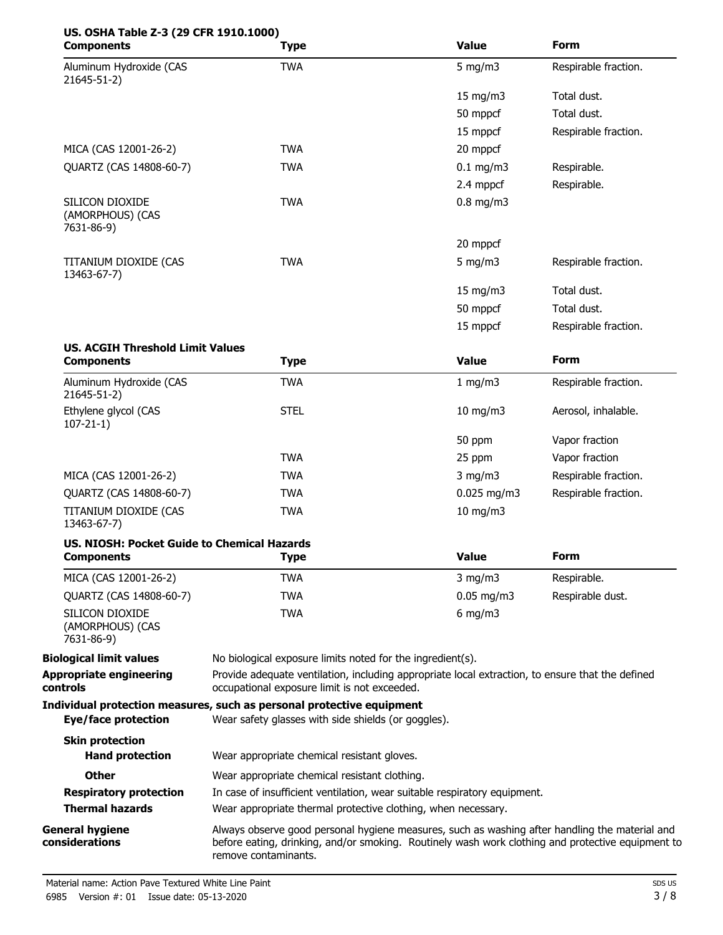# **US. OSHA Table Z-3 (29 CFR 1910.1000)**

| <b>Components</b>                                  | <b>Type</b> | <b>Value</b>     | Form                 |
|----------------------------------------------------|-------------|------------------|----------------------|
| Aluminum Hydroxide (CAS<br>21645-51-2)             | <b>TWA</b>  | 5 mg/m $3$       | Respirable fraction. |
|                                                    |             | 15 mg/m3         | Total dust.          |
|                                                    |             | 50 mppcf         | Total dust.          |
|                                                    |             | 15 mppcf         | Respirable fraction. |
| MICA (CAS 12001-26-2)                              | <b>TWA</b>  | 20 mppcf         |                      |
| QUARTZ (CAS 14808-60-7)                            | <b>TWA</b>  | $0.1$ mg/m3      | Respirable.          |
|                                                    |             | 2.4 mppcf        | Respirable.          |
| SILICON DIOXIDE<br>(AMORPHOUS) (CAS<br>7631-86-9)  | <b>TWA</b>  | $0.8$ mg/m3      |                      |
|                                                    |             | 20 mppcf         |                      |
| TITANIUM DIOXIDE (CAS<br>13463-67-7)               | <b>TWA</b>  | $5 \text{ mg/m}$ | Respirable fraction. |
|                                                    |             | 15 mg/m3         | Total dust.          |
|                                                    |             | 50 mppcf         | Total dust.          |
|                                                    |             | 15 mppcf         | Respirable fraction. |
| <b>US. ACGIH Threshold Limit Values</b>            |             |                  |                      |
| <b>Components</b>                                  | <b>Type</b> | <b>Value</b>     | <b>Form</b>          |
| Aluminum Hydroxide (CAS<br>21645-51-2)             | <b>TWA</b>  | 1 mg/m $3$       | Respirable fraction. |
| Ethylene glycol (CAS<br>$107 - 21 - 1$             | <b>STEL</b> | 10 mg/m3         | Aerosol, inhalable.  |
|                                                    |             | 50 ppm           | Vapor fraction       |
|                                                    | <b>TWA</b>  | 25 ppm           | Vapor fraction       |
| MICA (CAS 12001-26-2)                              | <b>TWA</b>  | $3$ mg/m $3$     | Respirable fraction. |
| QUARTZ (CAS 14808-60-7)                            | <b>TWA</b>  | $0.025$ mg/m3    | Respirable fraction. |
| TITANIUM DIOXIDE (CAS<br>13463-67-7)               | <b>TWA</b>  | 10 mg/m3         |                      |
| <b>US. NIOSH: Pocket Guide to Chemical Hazards</b> |             |                  |                      |
| <b>Components</b>                                  | <b>Type</b> | <b>Value</b>     | Form                 |
| MICA (CAS 12001-26-2)                              | <b>TWA</b>  | $3$ mg/m $3$     | Respirable.          |

|                                                   | .   |                        | .                |  |
|---------------------------------------------------|-----|------------------------|------------------|--|
| QUARTZ (CAS 14808-60-7)                           | TWA | $0.05 \,\mathrm{mg/m}$ | Respirable dust. |  |
| SILICON DIOXIDE<br>(AMORPHOUS) (CAS<br>7631-86-9) | TWA | $6 \text{ mg/m}$       |                  |  |

**Biological limit values** No biological exposure limits noted for the ingredient(s). Provide adequate ventilation, including appropriate local extraction, to ensure that the defined occupational exposure limit is not exceeded. **Appropriate engineering controls Individual protection measures, such as personal protective equipment Eye/face protection** Wear safety glasses with side shields (or goggles). **Skin protection Hand protection** Wear appropriate chemical resistant gloves.

**Other** Wear appropriate chemical resistant clothing.

**Respiratory protection** In case of insufficient ventilation, wear suitable respiratory equipment.

**Thermal hazards** Wear appropriate thermal protective clothing, when necessary.

Always observe good personal hygiene measures, such as washing after handling the material and before eating, drinking, and/or smoking. Routinely wash work clothing and protective equipment to remove contaminants. **General hygiene considerations**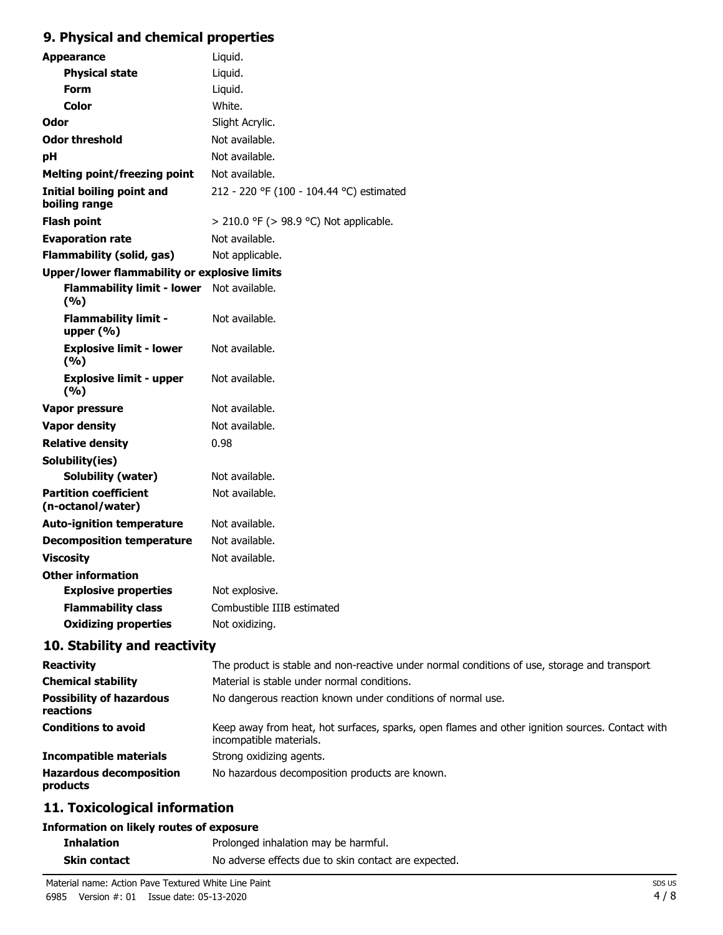## **9. Physical and chemical properties**

| <b>Appearance</b>                                   | Liquid.                                  |  |
|-----------------------------------------------------|------------------------------------------|--|
| <b>Physical state</b>                               | Liquid.                                  |  |
| <b>Form</b>                                         | Liquid.                                  |  |
| Color                                               | White.                                   |  |
| Odor                                                | Slight Acrylic.                          |  |
| <b>Odor threshold</b>                               | Not available.                           |  |
| рH                                                  | Not available.                           |  |
| <b>Melting point/freezing point</b>                 | Not available.                           |  |
| <b>Initial boiling point and</b><br>boiling range   | 212 - 220 °F (100 - 104.44 °C) estimated |  |
| <b>Flash point</b>                                  | > 210.0 °F (> 98.9 °C) Not applicable.   |  |
| <b>Evaporation rate</b>                             | Not available.                           |  |
| <b>Flammability (solid, gas)</b>                    | Not applicable.                          |  |
| <b>Upper/lower flammability or explosive limits</b> |                                          |  |
| <b>Flammability limit - lower</b><br>(9/6)          | Not available.                           |  |
| <b>Flammability limit -</b><br>upper $(% )$         | Not available.                           |  |
| <b>Explosive limit - lower</b><br>(9/6)             | Not available.                           |  |
| <b>Explosive limit - upper</b><br>(9/6)             | Not available.                           |  |
| Vapor pressure                                      | Not available.                           |  |
| <b>Vapor density</b>                                | Not available.                           |  |
| <b>Relative density</b>                             | 0.98                                     |  |
| Solubility(ies)                                     |                                          |  |
| <b>Solubility (water)</b>                           | Not available.                           |  |
| <b>Partition coefficient</b><br>(n-octanol/water)   | Not available.                           |  |
| <b>Auto-ignition temperature</b>                    | Not available.                           |  |
| <b>Decomposition temperature</b>                    | Not available.                           |  |
| <b>Viscosity</b>                                    | Not available.                           |  |
| <b>Other information</b>                            |                                          |  |
| <b>Explosive properties</b>                         | Not explosive.                           |  |
| <b>Flammability class</b>                           | Combustible IIIB estimated               |  |
| <b>Oxidizing properties</b>                         | Not oxidizing.                           |  |
|                                                     |                                          |  |

## **10. Stability and reactivity**

| <b>Reactivity</b>                            | The product is stable and non-reactive under normal conditions of use, storage and transport.                              |
|----------------------------------------------|----------------------------------------------------------------------------------------------------------------------------|
| <b>Chemical stability</b>                    | Material is stable under normal conditions.                                                                                |
| <b>Possibility of hazardous</b><br>reactions | No dangerous reaction known under conditions of normal use.                                                                |
| <b>Conditions to avoid</b>                   | Keep away from heat, hot surfaces, sparks, open flames and other ignition sources. Contact with<br>incompatible materials. |
| <b>Incompatible materials</b>                | Strong oxidizing agents.                                                                                                   |
| <b>Hazardous decomposition</b><br>products   | No hazardous decomposition products are known.                                                                             |

## **11. Toxicological information**

#### **Information on likely routes of exposure**

| <b>Inhalation</b> | Prolonged inhalation may be harmful.                 |
|-------------------|------------------------------------------------------|
| Skin contact      | No adverse effects due to skin contact are expected. |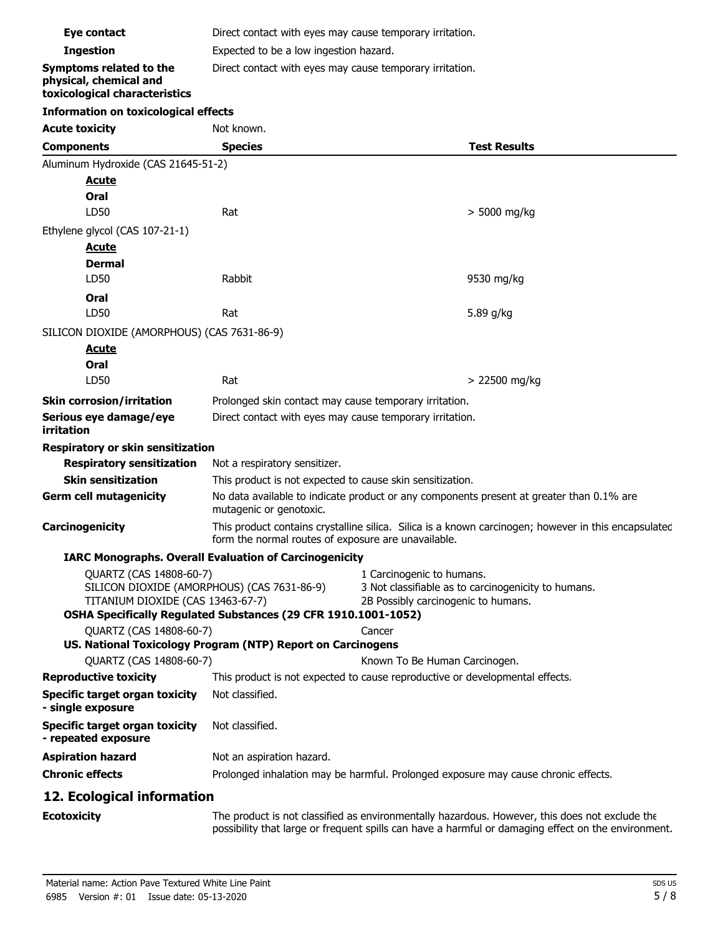| Eye contact                                                                                                                                                                   | Direct contact with eyes may cause temporary irritation.                                                                                                                                              |                                                                                                                         |                     |  |
|-------------------------------------------------------------------------------------------------------------------------------------------------------------------------------|-------------------------------------------------------------------------------------------------------------------------------------------------------------------------------------------------------|-------------------------------------------------------------------------------------------------------------------------|---------------------|--|
| <b>Ingestion</b>                                                                                                                                                              | Expected to be a low ingestion hazard.                                                                                                                                                                |                                                                                                                         |                     |  |
| <b>Symptoms related to the</b><br>physical, chemical and<br>toxicological characteristics                                                                                     | Direct contact with eyes may cause temporary irritation.                                                                                                                                              |                                                                                                                         |                     |  |
| <b>Information on toxicological effects</b>                                                                                                                                   |                                                                                                                                                                                                       |                                                                                                                         |                     |  |
| <b>Acute toxicity</b>                                                                                                                                                         | Not known.                                                                                                                                                                                            |                                                                                                                         |                     |  |
| <b>Components</b>                                                                                                                                                             | <b>Species</b>                                                                                                                                                                                        |                                                                                                                         | <b>Test Results</b> |  |
| Aluminum Hydroxide (CAS 21645-51-2)                                                                                                                                           |                                                                                                                                                                                                       |                                                                                                                         |                     |  |
| <u>Acute</u>                                                                                                                                                                  |                                                                                                                                                                                                       |                                                                                                                         |                     |  |
| Oral                                                                                                                                                                          |                                                                                                                                                                                                       |                                                                                                                         |                     |  |
| LD50                                                                                                                                                                          | Rat                                                                                                                                                                                                   |                                                                                                                         | > 5000 mg/kg        |  |
| Ethylene glycol (CAS 107-21-1)                                                                                                                                                |                                                                                                                                                                                                       |                                                                                                                         |                     |  |
| <u>Acute</u>                                                                                                                                                                  |                                                                                                                                                                                                       |                                                                                                                         |                     |  |
| <b>Dermal</b>                                                                                                                                                                 |                                                                                                                                                                                                       |                                                                                                                         |                     |  |
| LD50                                                                                                                                                                          | Rabbit                                                                                                                                                                                                |                                                                                                                         | 9530 mg/kg          |  |
| Oral                                                                                                                                                                          |                                                                                                                                                                                                       |                                                                                                                         |                     |  |
| LD50                                                                                                                                                                          | Rat                                                                                                                                                                                                   |                                                                                                                         | 5.89 g/kg           |  |
| SILICON DIOXIDE (AMORPHOUS) (CAS 7631-86-9)                                                                                                                                   |                                                                                                                                                                                                       |                                                                                                                         |                     |  |
| <u>Acute</u>                                                                                                                                                                  |                                                                                                                                                                                                       |                                                                                                                         |                     |  |
| Oral                                                                                                                                                                          |                                                                                                                                                                                                       |                                                                                                                         |                     |  |
| LD50                                                                                                                                                                          | Rat                                                                                                                                                                                                   |                                                                                                                         | > 22500 mg/kg       |  |
| <b>Skin corrosion/irritation</b>                                                                                                                                              | Prolonged skin contact may cause temporary irritation.                                                                                                                                                |                                                                                                                         |                     |  |
| Serious eye damage/eye<br>irritation                                                                                                                                          | Direct contact with eyes may cause temporary irritation.                                                                                                                                              |                                                                                                                         |                     |  |
| Respiratory or skin sensitization                                                                                                                                             |                                                                                                                                                                                                       |                                                                                                                         |                     |  |
| <b>Respiratory sensitization</b>                                                                                                                                              | Not a respiratory sensitizer.                                                                                                                                                                         |                                                                                                                         |                     |  |
| <b>Skin sensitization</b>                                                                                                                                                     | This product is not expected to cause skin sensitization.                                                                                                                                             |                                                                                                                         |                     |  |
| <b>Germ cell mutagenicity</b>                                                                                                                                                 | No data available to indicate product or any components present at greater than 0.1% are<br>mutagenic or genotoxic.                                                                                   |                                                                                                                         |                     |  |
| Carcinogenicity                                                                                                                                                               | This product contains crystalline silica. Silica is a known carcinogen; however in this encapsulated<br>form the normal routes of exposure are unavailable.                                           |                                                                                                                         |                     |  |
|                                                                                                                                                                               | <b>IARC Monographs. Overall Evaluation of Carcinogenicity</b>                                                                                                                                         |                                                                                                                         |                     |  |
| QUARTZ (CAS 14808-60-7)<br>SILICON DIOXIDE (AMORPHOUS) (CAS 7631-86-9)<br>TITANIUM DIOXIDE (CAS 13463-67-7)<br>OSHA Specifically Regulated Substances (29 CFR 1910.1001-1052) |                                                                                                                                                                                                       | 1 Carcinogenic to humans.<br>3 Not classifiable as to carcinogenicity to humans.<br>2B Possibly carcinogenic to humans. |                     |  |
| QUARTZ (CAS 14808-60-7)                                                                                                                                                       |                                                                                                                                                                                                       | Cancer                                                                                                                  |                     |  |
|                                                                                                                                                                               | US. National Toxicology Program (NTP) Report on Carcinogens                                                                                                                                           |                                                                                                                         |                     |  |
| QUARTZ (CAS 14808-60-7)                                                                                                                                                       |                                                                                                                                                                                                       | Known To Be Human Carcinogen.                                                                                           |                     |  |
| <b>Reproductive toxicity</b>                                                                                                                                                  | This product is not expected to cause reproductive or developmental effects.                                                                                                                          |                                                                                                                         |                     |  |
| <b>Specific target organ toxicity</b><br>- single exposure                                                                                                                    | Not classified.                                                                                                                                                                                       |                                                                                                                         |                     |  |
| <b>Specific target organ toxicity</b><br>- repeated exposure                                                                                                                  | Not classified.                                                                                                                                                                                       |                                                                                                                         |                     |  |
| <b>Aspiration hazard</b>                                                                                                                                                      | Not an aspiration hazard.                                                                                                                                                                             |                                                                                                                         |                     |  |
| <b>Chronic effects</b>                                                                                                                                                        | Prolonged inhalation may be harmful. Prolonged exposure may cause chronic effects.                                                                                                                    |                                                                                                                         |                     |  |
| 12. Ecological information                                                                                                                                                    |                                                                                                                                                                                                       |                                                                                                                         |                     |  |
| <b>Ecotoxicity</b>                                                                                                                                                            | The product is not classified as environmentally hazardous. However, this does not exclude the<br>possibility that large or frequent spills can have a harmful or damaging effect on the environment. |                                                                                                                         |                     |  |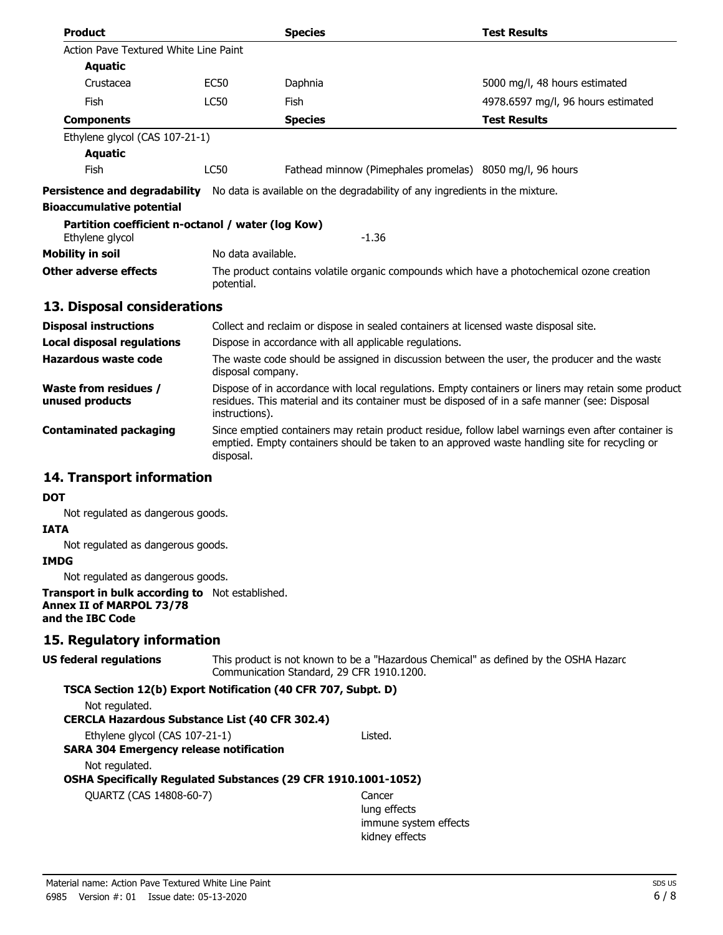| <b>Product</b>                                                       |                                                                                                                                                                                                     | <b>Species</b>                                                                                                                                                                                                         | <b>Test Results</b>                |  |  |
|----------------------------------------------------------------------|-----------------------------------------------------------------------------------------------------------------------------------------------------------------------------------------------------|------------------------------------------------------------------------------------------------------------------------------------------------------------------------------------------------------------------------|------------------------------------|--|--|
| Action Pave Textured White Line Paint                                |                                                                                                                                                                                                     |                                                                                                                                                                                                                        |                                    |  |  |
| Aquatic                                                              |                                                                                                                                                                                                     |                                                                                                                                                                                                                        |                                    |  |  |
| Crustacea                                                            | <b>EC50</b>                                                                                                                                                                                         | Daphnia                                                                                                                                                                                                                | 5000 mg/l, 48 hours estimated      |  |  |
| Fish                                                                 | <b>LC50</b>                                                                                                                                                                                         | Fish                                                                                                                                                                                                                   | 4978.6597 mg/l, 96 hours estimated |  |  |
| <b>Components</b>                                                    |                                                                                                                                                                                                     | <b>Species</b>                                                                                                                                                                                                         | <b>Test Results</b>                |  |  |
| Ethylene glycol (CAS 107-21-1)                                       |                                                                                                                                                                                                     |                                                                                                                                                                                                                        |                                    |  |  |
| <b>Aquatic</b>                                                       |                                                                                                                                                                                                     |                                                                                                                                                                                                                        |                                    |  |  |
| Fish                                                                 | <b>LC50</b>                                                                                                                                                                                         | Fathead minnow (Pimephales promelas) 8050 mg/l, 96 hours                                                                                                                                                               |                                    |  |  |
| Persistence and degradability                                        |                                                                                                                                                                                                     | No data is available on the degradability of any ingredients in the mixture.                                                                                                                                           |                                    |  |  |
| <b>Bioaccumulative potential</b>                                     |                                                                                                                                                                                                     |                                                                                                                                                                                                                        |                                    |  |  |
| Partition coefficient n-octanol / water (log Kow)<br>Ethylene glycol |                                                                                                                                                                                                     | $-1.36$                                                                                                                                                                                                                |                                    |  |  |
| Mobility in soil                                                     |                                                                                                                                                                                                     | No data available.                                                                                                                                                                                                     |                                    |  |  |
| <b>Other adverse effects</b>                                         |                                                                                                                                                                                                     | The product contains volatile organic compounds which have a photochemical ozone creation<br>potential.                                                                                                                |                                    |  |  |
| 13. Disposal considerations                                          |                                                                                                                                                                                                     |                                                                                                                                                                                                                        |                                    |  |  |
| <b>Disposal instructions</b>                                         |                                                                                                                                                                                                     | Collect and reclaim or dispose in sealed containers at licensed waste disposal site.                                                                                                                                   |                                    |  |  |
| <b>Local disposal regulations</b>                                    |                                                                                                                                                                                                     | Dispose in accordance with all applicable regulations.                                                                                                                                                                 |                                    |  |  |
| Hazardous waste code                                                 |                                                                                                                                                                                                     | The waste code should be assigned in discussion between the user, the producer and the waste<br>disposal company.                                                                                                      |                                    |  |  |
| <b>Waste from residues /</b><br>unused products                      |                                                                                                                                                                                                     | Dispose of in accordance with local regulations. Empty containers or liners may retain some product<br>residues. This material and its container must be disposed of in a safe manner (see: Disposal<br>instructions). |                                    |  |  |
| Contaminated packaging                                               | Since emptied containers may retain product residue, follow label warnings even after container is<br>emptied. Empty containers should be taken to an approved waste handling site for recycling or |                                                                                                                                                                                                                        |                                    |  |  |

## **14. Transport information**

#### **DOT**

Not regulated as dangerous goods.

#### **IATA**

Not regulated as dangerous goods.

#### **IMDG**

Not regulated as dangerous goods.

#### **Transport in bulk according to** Not established. **Annex II of MARPOL 73/78 and the IBC Code**

### **15. Regulatory information**

This product is not known to be a "Hazardous Chemical" as defined by the OSHA Hazard Communication Standard, 29 CFR 1910.1200. **US federal regulations**

### **TSCA Section 12(b) Export Notification (40 CFR 707, Subpt. D)**

disposal.

Not regulated.

#### **CERCLA Hazardous Substance List (40 CFR 302.4)**

Ethylene glycol (CAS 107-21-1) Listed.

#### **SARA 304 Emergency release notification**

Not regulated.

#### **OSHA Specifically Regulated Substances (29 CFR 1910.1001-1052)**

QUARTZ (CAS 14808-60-7) Cancer

lung effects immune system effects kidney effects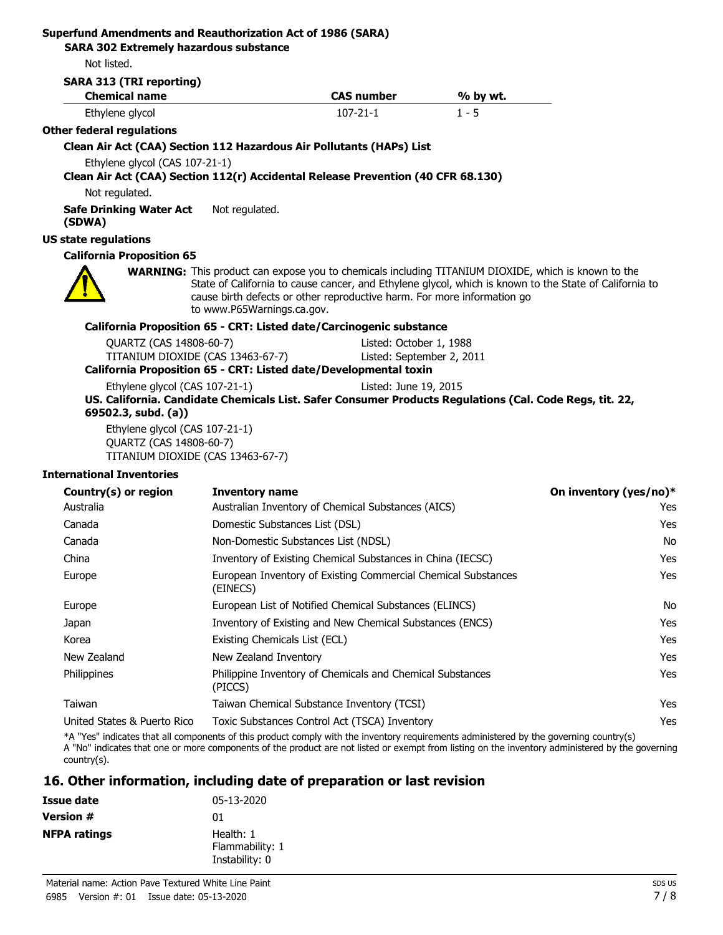## **Superfund Amendments and Reauthorization Act of 1986 (SARA)**

**SARA 302 Extremely hazardous substance**

Not listed.

| <b>Chemical name</b>                                                                                               |                                                                           | <b>CAS number</b>                                                       | % by wt.                                                                                                                                                                                                             |     |
|--------------------------------------------------------------------------------------------------------------------|---------------------------------------------------------------------------|-------------------------------------------------------------------------|----------------------------------------------------------------------------------------------------------------------------------------------------------------------------------------------------------------------|-----|
| Ethylene glycol                                                                                                    |                                                                           | $107 - 21 - 1$                                                          | $1 - 5$                                                                                                                                                                                                              |     |
| <b>Other federal regulations</b>                                                                                   |                                                                           |                                                                         |                                                                                                                                                                                                                      |     |
| Clean Air Act (CAA) Section 112 Hazardous Air Pollutants (HAPs) List                                               |                                                                           |                                                                         |                                                                                                                                                                                                                      |     |
| Ethylene glycol (CAS 107-21-1)<br>Clean Air Act (CAA) Section 112(r) Accidental Release Prevention (40 CFR 68.130) |                                                                           |                                                                         |                                                                                                                                                                                                                      |     |
| Not regulated.                                                                                                     |                                                                           |                                                                         |                                                                                                                                                                                                                      |     |
| <b>Safe Drinking Water Act</b><br>(SDWA)                                                                           | Not regulated.                                                            |                                                                         |                                                                                                                                                                                                                      |     |
| <b>US state regulations</b>                                                                                        |                                                                           |                                                                         |                                                                                                                                                                                                                      |     |
| <b>California Proposition 65</b>                                                                                   |                                                                           |                                                                         |                                                                                                                                                                                                                      |     |
|                                                                                                                    | to www.P65Warnings.ca.gov.                                                | cause birth defects or other reproductive harm. For more information go | <b>WARNING:</b> This product can expose you to chemicals including TITANIUM DIOXIDE, which is known to the<br>State of California to cause cancer, and Ethylene glycol, which is known to the State of California to |     |
|                                                                                                                    |                                                                           | California Proposition 65 - CRT: Listed date/Carcinogenic substance     |                                                                                                                                                                                                                      |     |
| QUARTZ (CAS 14808-60-7)                                                                                            |                                                                           | Listed: October 1, 1988                                                 |                                                                                                                                                                                                                      |     |
|                                                                                                                    | TITANIUM DIOXIDE (CAS 13463-67-7)                                         | Listed: September 2, 2011                                               |                                                                                                                                                                                                                      |     |
|                                                                                                                    |                                                                           | California Proposition 65 - CRT: Listed date/Developmental toxin        |                                                                                                                                                                                                                      |     |
| Ethylene glycol (CAS 107-21-1)<br>69502.3, subd. (a))                                                              |                                                                           | Listed: June 19, 2015                                                   | US. California. Candidate Chemicals List. Safer Consumer Products Regulations (Cal. Code Regs, tit. 22,                                                                                                              |     |
| Ethylene glycol (CAS 107-21-1)<br>QUARTZ (CAS 14808-60-7)<br>TITANIUM DIOXIDE (CAS 13463-67-7)                     |                                                                           |                                                                         |                                                                                                                                                                                                                      |     |
| <b>International Inventories</b>                                                                                   |                                                                           |                                                                         |                                                                                                                                                                                                                      |     |
| Country(s) or region                                                                                               | <b>Inventory name</b>                                                     |                                                                         | On inventory (yes/no)*                                                                                                                                                                                               |     |
| Australia                                                                                                          |                                                                           | Australian Inventory of Chemical Substances (AICS)                      |                                                                                                                                                                                                                      | Yes |
| Canada                                                                                                             |                                                                           | Domestic Substances List (DSL)                                          |                                                                                                                                                                                                                      | Yes |
| Canada                                                                                                             |                                                                           | Non-Domestic Substances List (NDSL)                                     |                                                                                                                                                                                                                      | No  |
| China                                                                                                              |                                                                           | Inventory of Existing Chemical Substances in China (IECSC)              |                                                                                                                                                                                                                      | Yes |
| Europe                                                                                                             | European Inventory of Existing Commercial Chemical Substances<br>(EINECS) |                                                                         |                                                                                                                                                                                                                      | Yes |
| Europe                                                                                                             |                                                                           | European List of Notified Chemical Substances (ELINCS)                  |                                                                                                                                                                                                                      |     |
| Japan                                                                                                              |                                                                           | Inventory of Existing and New Chemical Substances (ENCS)                |                                                                                                                                                                                                                      | Yes |
| Korea                                                                                                              | Existing Chemicals List (ECL)                                             |                                                                         |                                                                                                                                                                                                                      | Yes |
| New Zealand                                                                                                        | New Zealand Inventory                                                     |                                                                         |                                                                                                                                                                                                                      | Yes |
| Philippines                                                                                                        | Philippine Inventory of Chemicals and Chemical Substances<br>(PICCS)      |                                                                         |                                                                                                                                                                                                                      | Yes |
| Taiwan                                                                                                             |                                                                           | Taiwan Chemical Substance Inventory (TCSI)                              |                                                                                                                                                                                                                      | Yes |
| United States & Puerto Rico                                                                                        |                                                                           | Toxic Substances Control Act (TSCA) Inventory                           | *A "Yes" indicates that all components of this product comply with the inventory requirements administered by the governing country(s)                                                                               | Yes |

A "No" indicates that one or more components of the product are not listed or exempt from listing on the inventory administered by the governing country(s).

## **16. Other information, including date of preparation or last revision**

| Issue date          | 05-13-2020                                     |
|---------------------|------------------------------------------------|
| <b>Version #</b>    | 01                                             |
| <b>NFPA ratings</b> | Health: 1<br>Flammability: 1<br>Instability: 0 |